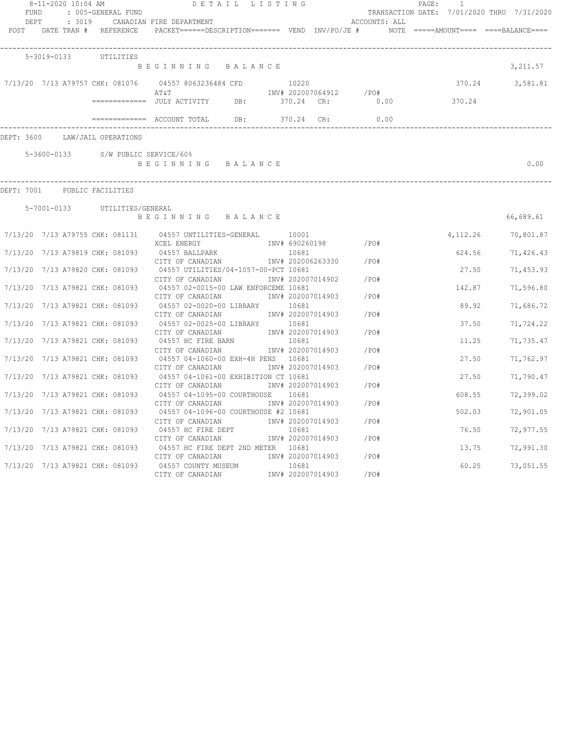| FUND<br>DEPT | : 3019                       | $8-11-2020$ 10:04 AM<br>: 005-GENERAL FUND | DETAIL LISTING<br>CANADIAN FIRE DEPARTMENT                                                                   |       |                                                 | ACCOUNTS: ALL           | $\overline{1}$<br>PAGE :<br>TRANSACTION DATE: 7/01/2020 THRU 7/31/2020 |                 |
|--------------|------------------------------|--------------------------------------------|--------------------------------------------------------------------------------------------------------------|-------|-------------------------------------------------|-------------------------|------------------------------------------------------------------------|-----------------|
|              |                              | POST DATE TRAN # REFERENCE                 | PACKET======DESCRIPTION======== VEND INV/PO/JE # NOTE =====AMOUNT==== ====BALANCE====                        |       |                                                 |                         |                                                                        |                 |
|              | 5-3019-0133                  | UTILITIES                                  |                                                                                                              |       |                                                 |                         |                                                                        |                 |
|              |                              |                                            | BEGINNING BALANCE                                                                                            |       |                                                 |                         |                                                                        | 3,211.57        |
|              |                              |                                            | 7/13/20 7/13 A79757 CHK: 081076 04557 8063236484 CFD 10220<br>AT&T                                           |       |                                                 | INV# 202007064912 / PO# |                                                                        | 370.24 3,581.81 |
|              |                              |                                            | ============= JULY ACTIVITY DB: 370.24 CR:                                                                   |       |                                                 |                         | $0.00$ 370.24                                                          |                 |
|              |                              |                                            | ============= ACCOUNT TOTAL DB: 370.24 CR:                                                                   |       |                                                 | 0.00                    |                                                                        |                 |
|              |                              | DEPT: 3600 LAW/JAIL OPERATIONS             |                                                                                                              |       |                                                 |                         |                                                                        |                 |
|              |                              | 5-3600-0133 S/W PUBLIC SERVICE/60%         |                                                                                                              |       |                                                 |                         |                                                                        |                 |
|              |                              |                                            | BEGINNING BALANCE                                                                                            |       |                                                 |                         |                                                                        | 0.00            |
|              | DEPT: 7001 PUBLIC FACILITIES |                                            |                                                                                                              |       |                                                 |                         |                                                                        |                 |
|              |                              | 5-7001-0133 UTILITIES/GENERAL              |                                                                                                              |       |                                                 |                         |                                                                        |                 |
|              |                              |                                            | BEGINNING BALANCE                                                                                            |       |                                                 |                         |                                                                        | 66,689.61       |
|              |                              |                                            | 7/13/20 7/13 A79755 CHK: 081131 04557 UNTILITIES-GENERAL 10001<br>XCEL ENERGY                                |       | INV# 690260198 /PO#                             |                         | 4,112.26                                                               | 70,801.87       |
|              |                              |                                            | 7/13/20 7/13 A79819 CHK: 081093 04557 BALLPARK                                                               |       | 10681                                           |                         | 624.56                                                                 | 71,426.43       |
|              |                              |                                            | CITY OF CANADIAN<br>7/13/20 7/13 A79820 CHK: 081093 04557 UTILITIES/04-1057-00-PCT 10681                     |       | INV# 202006263330                               | /PO#                    | 27.50                                                                  | 71,453.93       |
|              |                              |                                            | CITY OF CANADIAN<br>7/13/20 7/13 A79821 CHK: 081093 04557 02-0015-00 LAW ENFORCEME 10681<br>CITY OF CANADIAN |       | INV# 202007014902<br>INV# 202007014903          | /PO#<br>$/$ PO#         | 142.87                                                                 | 71,596.80       |
|              |                              | 7/13/20 7/13 A79821 CHK: 081093            | 04557 02-0020-00 LIBRARY 10681<br>CITY OF CANADIAN 1NV# 202007014903                                         |       |                                                 | /PO#                    | 89.92                                                                  | 71,686.72       |
|              |                              | 7/13/20 7/13 A79821 CHK: 081093            | 04557 02-0025-00 LIBRARY 10681<br>CITY OF CANADIAN                                                           |       | INV# 202007014903                               | /PO#                    | 37.50                                                                  | 71,724.22       |
|              |                              | 7/13/20 7/13 A79821 CHK: 081093            | 04557 HC FIRE BARN                                                                                           | 10681 |                                                 |                         | 11.25                                                                  | 71,735.47       |
|              |                              | 7/13/20 7/13 A79821 CHK: 081093            | CITY OF CANADIAN<br>04557 04-1060-00 EXH-4H PENS 10681                                                       |       | INV# 202007014903                               | /PO#<br>/PO#            | 27.50                                                                  | 71,762.97       |
|              |                              | 7/13/20 7/13 A79821 CHK: 081093            | CITY OF CANADIAN<br>04557 04-1061-00 EXHIBITION CT 10681<br>CITY OF CANADIAN                                 |       | INV# 202007014903<br>INV# 202007014903          | /PO#                    | 27.50                                                                  | 71,790.47       |
|              |                              | 7/13/20 7/13 A79821 CHK: 081093            | 04557 04-1095-00 COURTHOUSE 10681                                                                            |       |                                                 |                         | 608.55                                                                 | 72,399.02       |
|              |                              |                                            | CITY OF CANADIAN<br>7/13/20 7/13 A79821 CHK: 081093 04557 04-1096-00 COURTHOUSE #2 10681                     |       | INV# 202007014903                               | /PO#                    | 502.03                                                                 | 72,901.05       |
|              |                              | 7/13/20 7/13 A79821 CHK: 081093            | CITY OF CANADIAN<br>04557 HC FIRE DEPT                                                                       |       | INV# 202007014903<br>10681                      | /PO#                    | 76.50                                                                  | 72,977.55       |
|              |                              |                                            | CITY OF CANADIAN<br>7/13/20 7/13 A79821 CHK: 081093 04557 HC FIRE DEPT 2ND METER 10681                       |       | INV# 202007014903                               | /PO#<br>/PO#            | 13.75                                                                  | 72,991.30       |
|              |                              | 7/13/20 7/13 A79821 CHK: 081093            | CITY OF CANADIAN<br>04557 COUNTY MUSEUM<br>CITY OF CANADIAN                                                  |       | INV# 202007014903<br>10681<br>INV# 202007014903 | /PO#                    | 60.25                                                                  | 73,051.55       |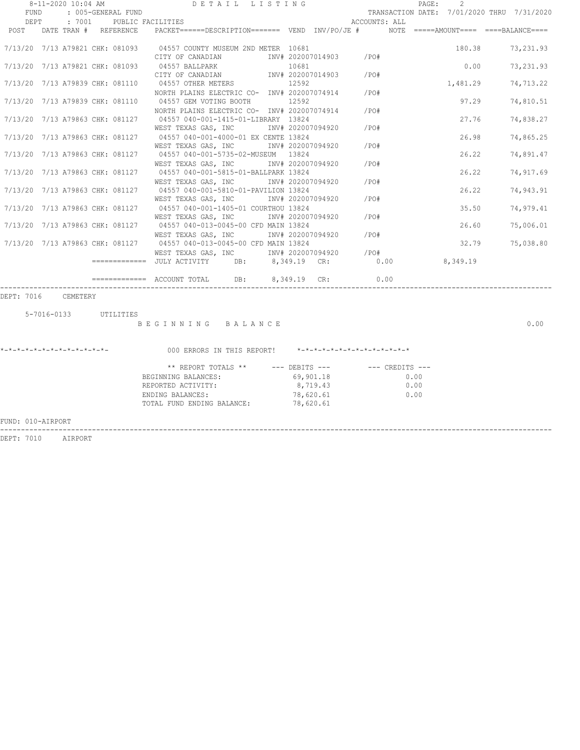|                                 |      | 8-11-2020 10:04 AM |                       |                                                                                                                                                                                                                                                                                                                                                                                                             | DETAIL LISTING |           |                   |                        |                                  | PAGE: | 2        |                                            |
|---------------------------------|------|--------------------|-----------------------|-------------------------------------------------------------------------------------------------------------------------------------------------------------------------------------------------------------------------------------------------------------------------------------------------------------------------------------------------------------------------------------------------------------|----------------|-----------|-------------------|------------------------|----------------------------------|-------|----------|--------------------------------------------|
| FUND                            |      |                    | : 005-GENERAL FUND    |                                                                                                                                                                                                                                                                                                                                                                                                             |                |           |                   |                        |                                  |       |          | TRANSACTION DATE: 7/01/2020 THRU 7/31/2020 |
|                                 | DEPT |                    |                       | : 7001 PUBLIC FACILITIES                                                                                                                                                                                                                                                                                                                                                                                    |                |           |                   | ACCOUNTS: ALL          |                                  |       |          |                                            |
| POST                            |      |                    | DATE TRAN # REFERENCE | $PACKET == == = DESCRIPTION == == == \t\t VEND \t\t INV/PO/JE # \t\t NOTE \t\t == ==+AMOUNT == == \t\t = ===BALANCE == == \t\t\t (P. C)E  \t\t NOTE \t\t NOTE \t\t NOTE \t\t NOTE \t\t NOTE \t\t NOTE \t\t NOTE \t\t NOTE \t\t NOTE \t\t NOTE \t\t NOTE \t\t NOTE \t\t NOTE \t\t NOTE \t\t NOTE \t\t NOTE \t\t NOTE \t\t NOTE \t\t NOTE \t\t NOTE \t\t NOTE \t\t NOTE \t\t NOTE \t\t NOTE \t\t NOTE \t\t N$ |                |           |                   |                        |                                  |       |          |                                            |
|                                 |      |                    |                       |                                                                                                                                                                                                                                                                                                                                                                                                             |                |           |                   |                        |                                  |       |          |                                            |
|                                 |      |                    |                       | 7/13/20 7/13 A79821 CHK: 081093 04557 COUNTY MUSEUM 2ND METER 10681                                                                                                                                                                                                                                                                                                                                         |                |           |                   |                        |                                  |       | 180.38   | 73, 231.93                                 |
|                                 |      |                    |                       | CITY OF CANADIAN MW# 202007014903                                                                                                                                                                                                                                                                                                                                                                           |                |           |                   | /PO#                   |                                  |       |          |                                            |
|                                 |      |                    |                       | 7/13/20 7/13 A79821 CHK: 081093 04557 BALLPARK                                                                                                                                                                                                                                                                                                                                                              |                | 10681     |                   |                        |                                  |       | 0.00     | 73,231.93                                  |
|                                 |      |                    |                       | CITY OF CANADIAN                                                                                                                                                                                                                                                                                                                                                                                            |                |           |                   | INV# 202007014903 /PO# |                                  |       |          |                                            |
| 7/13/20 7/13 A79839 CHK: 081110 |      |                    |                       | 04557 OTHER METERS                                                                                                                                                                                                                                                                                                                                                                                          |                | 12592     |                   |                        |                                  |       | 1,481.29 | 74,713.22                                  |
|                                 |      |                    |                       | NORTH PLAINS ELECTRIC CO- INV# 202007074914 / PO#                                                                                                                                                                                                                                                                                                                                                           |                |           |                   |                        |                                  |       |          |                                            |
|                                 |      |                    |                       | 7/13/20 7/13 A79839 CHK: 081110 04557 GEM VOTING BOOTH 12592                                                                                                                                                                                                                                                                                                                                                |                |           |                   |                        |                                  |       | 97.29    | 74,810.51                                  |
|                                 |      |                    |                       | NORTH PLAINS ELECTRIC CO- INV# 202007074914 / PO#                                                                                                                                                                                                                                                                                                                                                           |                |           |                   |                        |                                  |       |          |                                            |
| 7/13/20 7/13 A79863 CHK: 081127 |      |                    |                       | 04557 040-001-1415-01-LIBRARY 13824                                                                                                                                                                                                                                                                                                                                                                         |                |           |                   |                        |                                  |       | 27.76    | 74,838.27                                  |
|                                 |      |                    |                       | WEST TEXAS GAS, INC MONTH 202007094920                                                                                                                                                                                                                                                                                                                                                                      |                |           |                   | /PO#                   |                                  |       |          |                                            |
|                                 |      |                    |                       | 7/13/20 7/13 A79863 CHK: 081127 04557 040-001-4000-01 EX CENTE 13824                                                                                                                                                                                                                                                                                                                                        |                |           |                   |                        |                                  |       | 26.98    | 74,865.25                                  |
|                                 |      |                    |                       | WEST TEXAS GAS, INC                                                                                                                                                                                                                                                                                                                                                                                         |                |           | INV# 202007094920 | $/$ PO#                |                                  |       |          |                                            |
| 7/13/20 7/13 A79863 CHK: 081127 |      |                    |                       | 04557 040-001-5735-02-MUSEUM 13824                                                                                                                                                                                                                                                                                                                                                                          |                |           |                   |                        |                                  |       | 26.22    | 74,891.47                                  |
|                                 |      |                    |                       | WEST TEXAS GAS, INC NNV# 202007094920                                                                                                                                                                                                                                                                                                                                                                       |                |           |                   | $/$ PO#                |                                  |       |          |                                            |
|                                 |      |                    |                       | 7/13/20 7/13 A79863 CHK: 081127 04557 040-001-5815-01-BALLPARK 13824                                                                                                                                                                                                                                                                                                                                        |                |           |                   |                        |                                  |       | 26.22    | 74,917.69                                  |
|                                 |      |                    |                       | WEST TEXAS GAS, INC MONTH 202007094920                                                                                                                                                                                                                                                                                                                                                                      |                |           |                   | $/$ PO#                |                                  |       |          |                                            |
|                                 |      |                    |                       | 7/13/20 7/13 A79863 CHK: 081127 04557 040-001-5810-01-PAVILION 13824                                                                                                                                                                                                                                                                                                                                        |                |           |                   |                        |                                  |       | 26.22    | 74,943.91                                  |
|                                 |      |                    |                       | WEST TEXAS GAS, INC                                                                                                                                                                                                                                                                                                                                                                                         |                |           | INV# 202007094920 | $/$ PO#                |                                  |       |          |                                            |
|                                 |      |                    |                       | 7/13/20 7/13 A79863 CHK: 081127 04557 040-001-1405-01 COURTHOU 13824                                                                                                                                                                                                                                                                                                                                        |                |           |                   |                        |                                  |       | 35.50    | 74,979.41                                  |
|                                 |      |                    |                       | WEST TEXAS GAS, INC                                                                                                                                                                                                                                                                                                                                                                                         |                |           | INV# 202007094920 | /PO#                   |                                  |       |          |                                            |
|                                 |      |                    |                       | 7/13/20 7/13 A79863 CHK: 081127 04557 040-013-0045-00 CFD MAIN 13824                                                                                                                                                                                                                                                                                                                                        |                |           |                   |                        |                                  |       | 26.60    | 75,006.01                                  |
|                                 |      |                    |                       | WEST TEXAS GAS, INC                                                                                                                                                                                                                                                                                                                                                                                         |                |           | INV# 202007094920 | /PO#                   |                                  |       |          |                                            |
|                                 |      |                    |                       | 7/13/20 7/13 A79863 CHK: 081127 04557 040-013-0045-00 CFD MAIN 13824                                                                                                                                                                                                                                                                                                                                        |                |           |                   |                        |                                  |       | 32.79    | 75,038.80                                  |
|                                 |      |                    |                       |                                                                                                                                                                                                                                                                                                                                                                                                             |                |           |                   |                        |                                  |       |          |                                            |
|                                 |      |                    |                       |                                                                                                                                                                                                                                                                                                                                                                                                             |                |           |                   | /PO#<br>0.00           |                                  |       | 8,349.19 |                                            |
|                                 |      |                    |                       |                                                                                                                                                                                                                                                                                                                                                                                                             |                |           |                   |                        |                                  |       |          |                                            |
|                                 |      |                    |                       | $\overline{\phantom{1}}$ ============= ACCOUNT TOTAL DB: $\phantom{1}8.349.19$ CR:                                                                                                                                                                                                                                                                                                                          |                |           |                   | 0.00                   |                                  |       |          |                                            |
|                                 |      |                    |                       |                                                                                                                                                                                                                                                                                                                                                                                                             |                |           |                   |                        |                                  |       |          |                                            |
| DEPT: 7016 CEMETERY             |      |                    |                       |                                                                                                                                                                                                                                                                                                                                                                                                             |                |           |                   |                        |                                  |       |          |                                            |
|                                 |      |                    |                       |                                                                                                                                                                                                                                                                                                                                                                                                             |                |           |                   |                        |                                  |       |          |                                            |
|                                 |      |                    | 5-7016-0133 UTILITIES |                                                                                                                                                                                                                                                                                                                                                                                                             |                |           |                   |                        |                                  |       |          |                                            |
|                                 |      |                    |                       | BEGINNING BALANCE                                                                                                                                                                                                                                                                                                                                                                                           |                |           |                   |                        |                                  |       |          | 0.00                                       |
|                                 |      |                    |                       |                                                                                                                                                                                                                                                                                                                                                                                                             |                |           |                   |                        |                                  |       |          |                                            |
|                                 |      |                    |                       |                                                                                                                                                                                                                                                                                                                                                                                                             |                |           |                   |                        |                                  |       |          |                                            |
|                                 |      |                    |                       | 000 ERRORS IN THIS REPORT! *-*-*-*-*-*-*-*-*-*-*-*-*-*-                                                                                                                                                                                                                                                                                                                                                     |                |           |                   |                        |                                  |       |          |                                            |
|                                 |      |                    |                       |                                                                                                                                                                                                                                                                                                                                                                                                             |                |           |                   |                        |                                  |       |          |                                            |
|                                 |      |                    |                       | ** REPORT TOTALS **                                                                                                                                                                                                                                                                                                                                                                                         |                |           |                   |                        | --- DEBITS --- -- -- CREDITS --- |       |          |                                            |
|                                 |      |                    |                       | BEGINNING BALANCES:                                                                                                                                                                                                                                                                                                                                                                                         |                |           | 69,901.18         |                        | 0.00                             |       |          |                                            |
|                                 |      |                    |                       | REPORTED ACTIVITY:                                                                                                                                                                                                                                                                                                                                                                                          |                |           | 8,719.43          |                        | 0.00                             |       |          |                                            |
|                                 |      |                    |                       | ENDING BALANCES:                                                                                                                                                                                                                                                                                                                                                                                            |                | 78,620.61 |                   |                        | 0.00                             |       |          |                                            |
|                                 |      |                    |                       | TOTAL FUND ENDING BALANCE:                                                                                                                                                                                                                                                                                                                                                                                  |                | 78,620.61 |                   |                        |                                  |       |          |                                            |
|                                 |      |                    |                       |                                                                                                                                                                                                                                                                                                                                                                                                             |                |           |                   |                        |                                  |       |          |                                            |
| FUND: 010-AIRPORT               |      |                    |                       |                                                                                                                                                                                                                                                                                                                                                                                                             |                |           |                   |                        |                                  |       |          |                                            |
|                                 |      |                    |                       |                                                                                                                                                                                                                                                                                                                                                                                                             |                |           |                   |                        |                                  |       |          |                                            |

DEPT: 7010 AIRPORT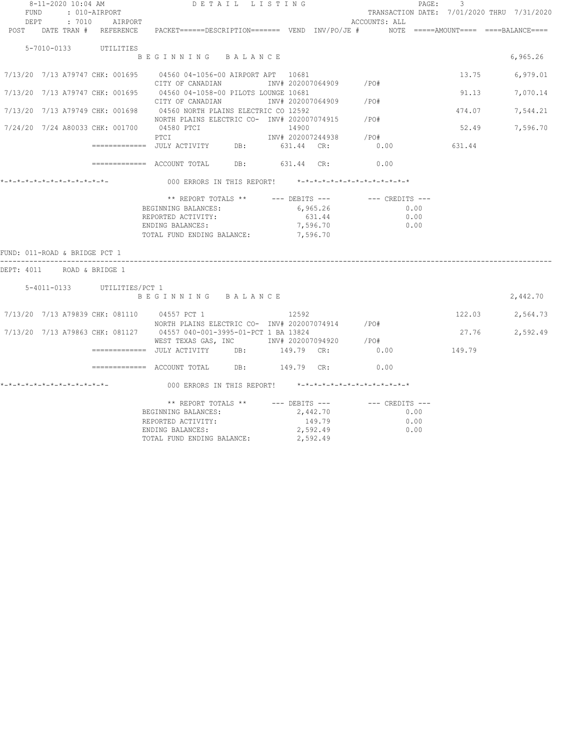| TRANSACTION DATE: 7/01/2020 THRU 7/31/2020<br>: 010-AIRPORT<br>FUND<br>: 7010 AIRPORT<br>DEPT<br>ACCOUNTS: ALL<br>PACKET======DESCRIPTION======= VEND INV/PO/JE #    NOTE =====AMOUNT==== ====BALANCE====<br>POST DATE TRAN # REFERENCE<br>5-7010-0133<br>UTILITIES<br>6,965.26<br>BEGINNING BALANCE<br>13.75<br>7/13/20 7/13 A79747 CHK: 001695 04560 04-1056-00 AIRPORT APT 10681<br>6,979.01<br>CITY OF CANADIAN<br>INV#202007064909 /PO#<br>7/13/20 7/13 A79747 CHK: 001695<br>04560 04-1058-00 PILOTS LOUNGE 10681<br>91.13<br>7,070.14<br>CITY OF CANADIAN<br>INV# 202007064909<br>/P0#<br>04560 NORTH PLAINS ELECTRIC CO 12592<br>7/13/20 7/13 A79749 CHK: 001698<br>474.07<br>7,544.21<br>NORTH PLAINS ELECTRIC CO- INV# 202007074915<br>/PO#<br>7/24/20 7/24 A80033 CHK: 001700<br>04580 PTCI<br>14900<br>52.49<br>7,596.70<br>PTCI<br>INV# 202007244938<br>$/$ PO#<br>631.44 CR:<br>631.44<br>------------- JULY ACTIVITY DB:<br>0.00<br>$\text{F}$ ============= ACCOUNT TOTAL DB: $631.44$ CR:<br>0.00<br>*-*-*-*-*-*-*-*-*-*-*-*-*-*-<br>000 ERRORS IN THIS REPORT! *-*-*-*-*-*-*-*-*-*-*-*-*-*-<br>** REPORT TOTALS **<br>$---$ DEBITS $---$<br>--- CREDITS ---<br>BEGINNING BALANCES:<br>6,965.26<br>0.00<br>631.44<br>REPORTED ACTIVITY:<br>0.00<br>ENDING BALANCES:<br>7,596.70<br>0.00<br>TOTAL FUND ENDING BALANCE:<br>7,596.70<br>FUND: 011-ROAD & BRIDGE PCT 1<br>DEPT: 4011<br>ROAD & BRIDGE 1<br>5-4011-0133 UTILITIES/PCT 1<br>2,442.70<br>BEGINNING BALANCE<br>122.03<br>7/13/20 7/13 A79839 CHK: 081110<br>04557 PCT 1<br>12592<br>2,564.73<br>NORTH PLAINS ELECTRIC CO- INV# 202007074914<br>/PO#<br>7/13/20 7/13 A79863 CHK: 081127<br>04557 040-001-3995-01-PCT 1 BA 13824<br>27.76<br>2,592.49<br>/ PO#<br>WEST TEXAS GAS, INC NOTINV# 202007094920<br>0.00<br>149.79<br>DB:<br>149.79 CR:<br>0.00<br>000 ERRORS IN THIS REPORT! *-*-*-*-*-*-*-*-*-*-*-*-*-*-<br>** REPORT TOTALS **<br>$---$ DEBITS $---$<br>--- CREDITS ---<br>2,442.70<br>BEGINNING BALANCES:<br>0.00<br>149.79<br>REPORTED ACTIVITY:<br>0.00<br>2,592.49<br>ENDING BALANCES:<br>0.00 | 8-11-2020 10:04 AM | DETAIL LISTING |  |  | $\texttt{PAGE}$ : | $\overline{\mathbf{3}}$ |  |
|----------------------------------------------------------------------------------------------------------------------------------------------------------------------------------------------------------------------------------------------------------------------------------------------------------------------------------------------------------------------------------------------------------------------------------------------------------------------------------------------------------------------------------------------------------------------------------------------------------------------------------------------------------------------------------------------------------------------------------------------------------------------------------------------------------------------------------------------------------------------------------------------------------------------------------------------------------------------------------------------------------------------------------------------------------------------------------------------------------------------------------------------------------------------------------------------------------------------------------------------------------------------------------------------------------------------------------------------------------------------------------------------------------------------------------------------------------------------------------------------------------------------------------------------------------------------------------------------------------------------------------------------------------------------------------------------------------------------------------------------------------------------------------------------------------------------------------------------------------------------------------------------------------------------------------------------------------------------------------------------------------------------------------------------------------------------------------------|--------------------|----------------|--|--|-------------------|-------------------------|--|
|                                                                                                                                                                                                                                                                                                                                                                                                                                                                                                                                                                                                                                                                                                                                                                                                                                                                                                                                                                                                                                                                                                                                                                                                                                                                                                                                                                                                                                                                                                                                                                                                                                                                                                                                                                                                                                                                                                                                                                                                                                                                                        |                    |                |  |  |                   |                         |  |
|                                                                                                                                                                                                                                                                                                                                                                                                                                                                                                                                                                                                                                                                                                                                                                                                                                                                                                                                                                                                                                                                                                                                                                                                                                                                                                                                                                                                                                                                                                                                                                                                                                                                                                                                                                                                                                                                                                                                                                                                                                                                                        |                    |                |  |  |                   |                         |  |
|                                                                                                                                                                                                                                                                                                                                                                                                                                                                                                                                                                                                                                                                                                                                                                                                                                                                                                                                                                                                                                                                                                                                                                                                                                                                                                                                                                                                                                                                                                                                                                                                                                                                                                                                                                                                                                                                                                                                                                                                                                                                                        |                    |                |  |  |                   |                         |  |
|                                                                                                                                                                                                                                                                                                                                                                                                                                                                                                                                                                                                                                                                                                                                                                                                                                                                                                                                                                                                                                                                                                                                                                                                                                                                                                                                                                                                                                                                                                                                                                                                                                                                                                                                                                                                                                                                                                                                                                                                                                                                                        |                    |                |  |  |                   |                         |  |
|                                                                                                                                                                                                                                                                                                                                                                                                                                                                                                                                                                                                                                                                                                                                                                                                                                                                                                                                                                                                                                                                                                                                                                                                                                                                                                                                                                                                                                                                                                                                                                                                                                                                                                                                                                                                                                                                                                                                                                                                                                                                                        |                    |                |  |  |                   |                         |  |
|                                                                                                                                                                                                                                                                                                                                                                                                                                                                                                                                                                                                                                                                                                                                                                                                                                                                                                                                                                                                                                                                                                                                                                                                                                                                                                                                                                                                                                                                                                                                                                                                                                                                                                                                                                                                                                                                                                                                                                                                                                                                                        |                    |                |  |  |                   |                         |  |
|                                                                                                                                                                                                                                                                                                                                                                                                                                                                                                                                                                                                                                                                                                                                                                                                                                                                                                                                                                                                                                                                                                                                                                                                                                                                                                                                                                                                                                                                                                                                                                                                                                                                                                                                                                                                                                                                                                                                                                                                                                                                                        |                    |                |  |  |                   |                         |  |
|                                                                                                                                                                                                                                                                                                                                                                                                                                                                                                                                                                                                                                                                                                                                                                                                                                                                                                                                                                                                                                                                                                                                                                                                                                                                                                                                                                                                                                                                                                                                                                                                                                                                                                                                                                                                                                                                                                                                                                                                                                                                                        |                    |                |  |  |                   |                         |  |
|                                                                                                                                                                                                                                                                                                                                                                                                                                                                                                                                                                                                                                                                                                                                                                                                                                                                                                                                                                                                                                                                                                                                                                                                                                                                                                                                                                                                                                                                                                                                                                                                                                                                                                                                                                                                                                                                                                                                                                                                                                                                                        |                    |                |  |  |                   |                         |  |
|                                                                                                                                                                                                                                                                                                                                                                                                                                                                                                                                                                                                                                                                                                                                                                                                                                                                                                                                                                                                                                                                                                                                                                                                                                                                                                                                                                                                                                                                                                                                                                                                                                                                                                                                                                                                                                                                                                                                                                                                                                                                                        |                    |                |  |  |                   |                         |  |
|                                                                                                                                                                                                                                                                                                                                                                                                                                                                                                                                                                                                                                                                                                                                                                                                                                                                                                                                                                                                                                                                                                                                                                                                                                                                                                                                                                                                                                                                                                                                                                                                                                                                                                                                                                                                                                                                                                                                                                                                                                                                                        |                    |                |  |  |                   |                         |  |
|                                                                                                                                                                                                                                                                                                                                                                                                                                                                                                                                                                                                                                                                                                                                                                                                                                                                                                                                                                                                                                                                                                                                                                                                                                                                                                                                                                                                                                                                                                                                                                                                                                                                                                                                                                                                                                                                                                                                                                                                                                                                                        |                    |                |  |  |                   |                         |  |
|                                                                                                                                                                                                                                                                                                                                                                                                                                                                                                                                                                                                                                                                                                                                                                                                                                                                                                                                                                                                                                                                                                                                                                                                                                                                                                                                                                                                                                                                                                                                                                                                                                                                                                                                                                                                                                                                                                                                                                                                                                                                                        |                    |                |  |  |                   |                         |  |
|                                                                                                                                                                                                                                                                                                                                                                                                                                                                                                                                                                                                                                                                                                                                                                                                                                                                                                                                                                                                                                                                                                                                                                                                                                                                                                                                                                                                                                                                                                                                                                                                                                                                                                                                                                                                                                                                                                                                                                                                                                                                                        |                    |                |  |  |                   |                         |  |
|                                                                                                                                                                                                                                                                                                                                                                                                                                                                                                                                                                                                                                                                                                                                                                                                                                                                                                                                                                                                                                                                                                                                                                                                                                                                                                                                                                                                                                                                                                                                                                                                                                                                                                                                                                                                                                                                                                                                                                                                                                                                                        |                    |                |  |  |                   |                         |  |
|                                                                                                                                                                                                                                                                                                                                                                                                                                                                                                                                                                                                                                                                                                                                                                                                                                                                                                                                                                                                                                                                                                                                                                                                                                                                                                                                                                                                                                                                                                                                                                                                                                                                                                                                                                                                                                                                                                                                                                                                                                                                                        |                    |                |  |  |                   |                         |  |
|                                                                                                                                                                                                                                                                                                                                                                                                                                                                                                                                                                                                                                                                                                                                                                                                                                                                                                                                                                                                                                                                                                                                                                                                                                                                                                                                                                                                                                                                                                                                                                                                                                                                                                                                                                                                                                                                                                                                                                                                                                                                                        |                    |                |  |  |                   |                         |  |
|                                                                                                                                                                                                                                                                                                                                                                                                                                                                                                                                                                                                                                                                                                                                                                                                                                                                                                                                                                                                                                                                                                                                                                                                                                                                                                                                                                                                                                                                                                                                                                                                                                                                                                                                                                                                                                                                                                                                                                                                                                                                                        |                    |                |  |  |                   |                         |  |
|                                                                                                                                                                                                                                                                                                                                                                                                                                                                                                                                                                                                                                                                                                                                                                                                                                                                                                                                                                                                                                                                                                                                                                                                                                                                                                                                                                                                                                                                                                                                                                                                                                                                                                                                                                                                                                                                                                                                                                                                                                                                                        |                    |                |  |  |                   |                         |  |
|                                                                                                                                                                                                                                                                                                                                                                                                                                                                                                                                                                                                                                                                                                                                                                                                                                                                                                                                                                                                                                                                                                                                                                                                                                                                                                                                                                                                                                                                                                                                                                                                                                                                                                                                                                                                                                                                                                                                                                                                                                                                                        |                    |                |  |  |                   |                         |  |
|                                                                                                                                                                                                                                                                                                                                                                                                                                                                                                                                                                                                                                                                                                                                                                                                                                                                                                                                                                                                                                                                                                                                                                                                                                                                                                                                                                                                                                                                                                                                                                                                                                                                                                                                                                                                                                                                                                                                                                                                                                                                                        |                    |                |  |  |                   |                         |  |
|                                                                                                                                                                                                                                                                                                                                                                                                                                                                                                                                                                                                                                                                                                                                                                                                                                                                                                                                                                                                                                                                                                                                                                                                                                                                                                                                                                                                                                                                                                                                                                                                                                                                                                                                                                                                                                                                                                                                                                                                                                                                                        |                    |                |  |  |                   |                         |  |
|                                                                                                                                                                                                                                                                                                                                                                                                                                                                                                                                                                                                                                                                                                                                                                                                                                                                                                                                                                                                                                                                                                                                                                                                                                                                                                                                                                                                                                                                                                                                                                                                                                                                                                                                                                                                                                                                                                                                                                                                                                                                                        |                    |                |  |  |                   |                         |  |
|                                                                                                                                                                                                                                                                                                                                                                                                                                                                                                                                                                                                                                                                                                                                                                                                                                                                                                                                                                                                                                                                                                                                                                                                                                                                                                                                                                                                                                                                                                                                                                                                                                                                                                                                                                                                                                                                                                                                                                                                                                                                                        |                    |                |  |  |                   |                         |  |
|                                                                                                                                                                                                                                                                                                                                                                                                                                                                                                                                                                                                                                                                                                                                                                                                                                                                                                                                                                                                                                                                                                                                                                                                                                                                                                                                                                                                                                                                                                                                                                                                                                                                                                                                                                                                                                                                                                                                                                                                                                                                                        |                    |                |  |  |                   |                         |  |
|                                                                                                                                                                                                                                                                                                                                                                                                                                                                                                                                                                                                                                                                                                                                                                                                                                                                                                                                                                                                                                                                                                                                                                                                                                                                                                                                                                                                                                                                                                                                                                                                                                                                                                                                                                                                                                                                                                                                                                                                                                                                                        |                    |                |  |  |                   |                         |  |
|                                                                                                                                                                                                                                                                                                                                                                                                                                                                                                                                                                                                                                                                                                                                                                                                                                                                                                                                                                                                                                                                                                                                                                                                                                                                                                                                                                                                                                                                                                                                                                                                                                                                                                                                                                                                                                                                                                                                                                                                                                                                                        |                    |                |  |  |                   |                         |  |
|                                                                                                                                                                                                                                                                                                                                                                                                                                                                                                                                                                                                                                                                                                                                                                                                                                                                                                                                                                                                                                                                                                                                                                                                                                                                                                                                                                                                                                                                                                                                                                                                                                                                                                                                                                                                                                                                                                                                                                                                                                                                                        |                    |                |  |  |                   |                         |  |
|                                                                                                                                                                                                                                                                                                                                                                                                                                                                                                                                                                                                                                                                                                                                                                                                                                                                                                                                                                                                                                                                                                                                                                                                                                                                                                                                                                                                                                                                                                                                                                                                                                                                                                                                                                                                                                                                                                                                                                                                                                                                                        |                    |                |  |  |                   |                         |  |
|                                                                                                                                                                                                                                                                                                                                                                                                                                                                                                                                                                                                                                                                                                                                                                                                                                                                                                                                                                                                                                                                                                                                                                                                                                                                                                                                                                                                                                                                                                                                                                                                                                                                                                                                                                                                                                                                                                                                                                                                                                                                                        |                    |                |  |  |                   |                         |  |
|                                                                                                                                                                                                                                                                                                                                                                                                                                                                                                                                                                                                                                                                                                                                                                                                                                                                                                                                                                                                                                                                                                                                                                                                                                                                                                                                                                                                                                                                                                                                                                                                                                                                                                                                                                                                                                                                                                                                                                                                                                                                                        |                    |                |  |  |                   |                         |  |
|                                                                                                                                                                                                                                                                                                                                                                                                                                                                                                                                                                                                                                                                                                                                                                                                                                                                                                                                                                                                                                                                                                                                                                                                                                                                                                                                                                                                                                                                                                                                                                                                                                                                                                                                                                                                                                                                                                                                                                                                                                                                                        |                    |                |  |  |                   |                         |  |
|                                                                                                                                                                                                                                                                                                                                                                                                                                                                                                                                                                                                                                                                                                                                                                                                                                                                                                                                                                                                                                                                                                                                                                                                                                                                                                                                                                                                                                                                                                                                                                                                                                                                                                                                                                                                                                                                                                                                                                                                                                                                                        |                    |                |  |  |                   |                         |  |
|                                                                                                                                                                                                                                                                                                                                                                                                                                                                                                                                                                                                                                                                                                                                                                                                                                                                                                                                                                                                                                                                                                                                                                                                                                                                                                                                                                                                                                                                                                                                                                                                                                                                                                                                                                                                                                                                                                                                                                                                                                                                                        |                    |                |  |  |                   |                         |  |
|                                                                                                                                                                                                                                                                                                                                                                                                                                                                                                                                                                                                                                                                                                                                                                                                                                                                                                                                                                                                                                                                                                                                                                                                                                                                                                                                                                                                                                                                                                                                                                                                                                                                                                                                                                                                                                                                                                                                                                                                                                                                                        |                    |                |  |  |                   |                         |  |
|                                                                                                                                                                                                                                                                                                                                                                                                                                                                                                                                                                                                                                                                                                                                                                                                                                                                                                                                                                                                                                                                                                                                                                                                                                                                                                                                                                                                                                                                                                                                                                                                                                                                                                                                                                                                                                                                                                                                                                                                                                                                                        |                    |                |  |  |                   |                         |  |
|                                                                                                                                                                                                                                                                                                                                                                                                                                                                                                                                                                                                                                                                                                                                                                                                                                                                                                                                                                                                                                                                                                                                                                                                                                                                                                                                                                                                                                                                                                                                                                                                                                                                                                                                                                                                                                                                                                                                                                                                                                                                                        |                    |                |  |  |                   |                         |  |
|                                                                                                                                                                                                                                                                                                                                                                                                                                                                                                                                                                                                                                                                                                                                                                                                                                                                                                                                                                                                                                                                                                                                                                                                                                                                                                                                                                                                                                                                                                                                                                                                                                                                                                                                                                                                                                                                                                                                                                                                                                                                                        |                    |                |  |  |                   |                         |  |
|                                                                                                                                                                                                                                                                                                                                                                                                                                                                                                                                                                                                                                                                                                                                                                                                                                                                                                                                                                                                                                                                                                                                                                                                                                                                                                                                                                                                                                                                                                                                                                                                                                                                                                                                                                                                                                                                                                                                                                                                                                                                                        |                    |                |  |  |                   |                         |  |
|                                                                                                                                                                                                                                                                                                                                                                                                                                                                                                                                                                                                                                                                                                                                                                                                                                                                                                                                                                                                                                                                                                                                                                                                                                                                                                                                                                                                                                                                                                                                                                                                                                                                                                                                                                                                                                                                                                                                                                                                                                                                                        |                    |                |  |  |                   |                         |  |
|                                                                                                                                                                                                                                                                                                                                                                                                                                                                                                                                                                                                                                                                                                                                                                                                                                                                                                                                                                                                                                                                                                                                                                                                                                                                                                                                                                                                                                                                                                                                                                                                                                                                                                                                                                                                                                                                                                                                                                                                                                                                                        |                    |                |  |  |                   |                         |  |
|                                                                                                                                                                                                                                                                                                                                                                                                                                                                                                                                                                                                                                                                                                                                                                                                                                                                                                                                                                                                                                                                                                                                                                                                                                                                                                                                                                                                                                                                                                                                                                                                                                                                                                                                                                                                                                                                                                                                                                                                                                                                                        |                    |                |  |  |                   |                         |  |
|                                                                                                                                                                                                                                                                                                                                                                                                                                                                                                                                                                                                                                                                                                                                                                                                                                                                                                                                                                                                                                                                                                                                                                                                                                                                                                                                                                                                                                                                                                                                                                                                                                                                                                                                                                                                                                                                                                                                                                                                                                                                                        |                    |                |  |  |                   |                         |  |
|                                                                                                                                                                                                                                                                                                                                                                                                                                                                                                                                                                                                                                                                                                                                                                                                                                                                                                                                                                                                                                                                                                                                                                                                                                                                                                                                                                                                                                                                                                                                                                                                                                                                                                                                                                                                                                                                                                                                                                                                                                                                                        |                    |                |  |  |                   |                         |  |
| TOTAL FUND ENDING BALANCE:<br>2,592.49                                                                                                                                                                                                                                                                                                                                                                                                                                                                                                                                                                                                                                                                                                                                                                                                                                                                                                                                                                                                                                                                                                                                                                                                                                                                                                                                                                                                                                                                                                                                                                                                                                                                                                                                                                                                                                                                                                                                                                                                                                                 |                    |                |  |  |                   |                         |  |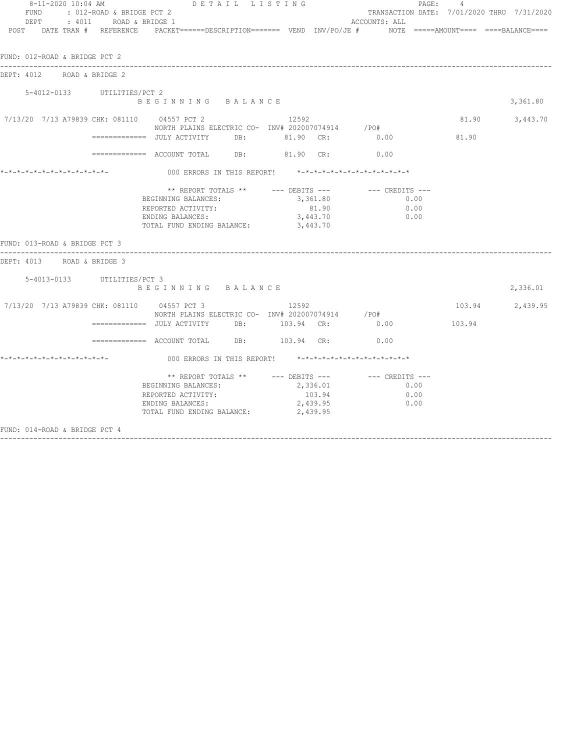| FUND<br>DEPT<br>POST DATE TRAN # REFERENCE       | : 012-ROAD & BRIDGE PCT 2<br>: 4011 ROAD & BRIDGE 1 | 8-11-2020 10:04 AM DETAIL LISTING<br>PACKET======DESCRIPTION=======  VEND  INV/PO/JE #     NOTE  =====AMOUNT====  ====BALANCE===== |          |                                | ACCOUNTS: ALL                                                             | PAGE: | 4      | TRANSACTION DATE: 7/01/2020 THRU 7/31/2020 |
|--------------------------------------------------|-----------------------------------------------------|------------------------------------------------------------------------------------------------------------------------------------|----------|--------------------------------|---------------------------------------------------------------------------|-------|--------|--------------------------------------------|
| FUND: 012-ROAD & BRIDGE PCT 2                    |                                                     |                                                                                                                                    |          |                                |                                                                           |       |        |                                            |
| DEPT: 4012<br>ROAD & BRIDGE 2                    |                                                     |                                                                                                                                    |          |                                |                                                                           |       |        |                                            |
| 5-4012-0133 UTILITIES/PCT 2                      |                                                     | BEGINNING BALANCE                                                                                                                  |          |                                |                                                                           |       |        | 3,361.80                                   |
| 7/13/20  7/13  A79839  CHK: 081110  04557  PCT 2 |                                                     | NORTH PLAINS ELECTRIC CO- INV# 202007074914 /PO#                                                                                   | 12.592   |                                |                                                                           |       |        | 81.90 3,443.70                             |
|                                                  |                                                     |                                                                                                                                    |          |                                |                                                                           |       | 81.90  |                                            |
|                                                  |                                                     | ============ ACCOUNT TOTAL DB: 81.90 CR: 0.00                                                                                      |          |                                |                                                                           |       |        |                                            |
|                                                  |                                                     |                                                                                                                                    |          |                                | 000 ERRORS IN THIS REPORT! *-*-*-*-*-*-*-*-*-*-*-*-*-*-                   |       |        |                                            |
|                                                  |                                                     | BEGINNING BALANCES:<br>REPORTED ACTIVITY:<br>ENDING BALANCES:<br>TOTAL FUND ENDING BALANCE: 3,443.70                               | 3,443.70 | 3,361.80<br>81.90              | 0.00<br>0.00<br>0.00                                                      |       |        |                                            |
| FUND: 013-ROAD & BRIDGE PCT 3                    |                                                     |                                                                                                                                    |          |                                |                                                                           |       |        |                                            |
| DEPT: 4013 ROAD & BRIDGE 3                       |                                                     |                                                                                                                                    |          |                                |                                                                           |       |        |                                            |
| 5-4013-0133 UTILITIES/PCT 3                      |                                                     | BEGINNING BALANCE                                                                                                                  |          |                                |                                                                           |       |        | 2,336.01                                   |
| 7/13/20 7/13 A79839 CHK: 081110 04557 PCT 3      |                                                     | NORTH PLAINS ELECTRIC CO- INV# 202007074914 / PO#                                                                                  | 12592    |                                |                                                                           |       |        | 103.94 2,439.95                            |
|                                                  |                                                     | ============= JULY ACTIVITY DB: 103.94 CR: 0.00                                                                                    |          |                                |                                                                           |       | 103.94 |                                            |
|                                                  |                                                     | ============ ACCOUNT TOTAL DB: 103.94 CR: 0.00                                                                                     |          |                                |                                                                           |       |        |                                            |
|                                                  |                                                     |                                                                                                                                    |          |                                | 000 ERRORS IN THIS REPORT! *-*-*-*-*-*-*-*-*-*-*-*-*-*-                   |       |        |                                            |
|                                                  |                                                     | BEGINNING BALANCES:<br>REPORTED ACTIVITY:<br>ENDING BALANCES:<br>TOTAL FUND ENDING BALANCE:                                        | 2,439.95 | 2,336.01<br>103.94<br>2,439.95 | ** REPORT TOTALS ** --- DEBITS --- -- CREDITS ---<br>0.00<br>0.00<br>0.00 |       |        |                                            |
| FUND: 014-ROAD & BRIDGE PCT 4                    |                                                     |                                                                                                                                    |          |                                |                                                                           |       |        |                                            |